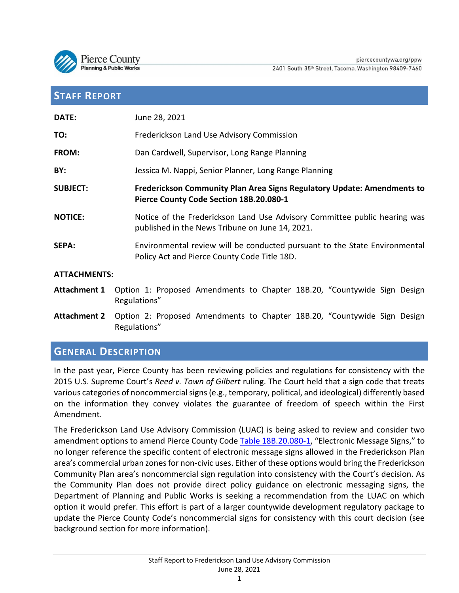

# **STAFF REPORT**

| DATE:               | June 28, 2021                                                                                                                |
|---------------------|------------------------------------------------------------------------------------------------------------------------------|
| TO:                 | Frederickson Land Use Advisory Commission                                                                                    |
| FROM:               | Dan Cardwell, Supervisor, Long Range Planning                                                                                |
| BY:                 | Jessica M. Nappi, Senior Planner, Long Range Planning                                                                        |
| <b>SUBJECT:</b>     | Frederickson Community Plan Area Signs Regulatory Update: Amendments to<br>Pierce County Code Section 18B.20.080-1           |
| <b>NOTICE:</b>      | Notice of the Frederickson Land Use Advisory Committee public hearing was<br>published in the News Tribune on June 14, 2021. |
| <b>SEPA:</b>        | Environmental review will be conducted pursuant to the State Environmental<br>Policy Act and Pierce County Code Title 18D.   |
| <b>ATTACHMENTS:</b> |                                                                                                                              |
| <b>Attachment 1</b> | Option 1: Proposed Amendments to Chapter 18B.20, "Countywide Sign Design                                                     |

**Attachment 2** Option 2: Proposed Amendments to Chapter 18B.20, "Countywide Sign Design Regulations"

# **GENERAL DESCRIPTION**

Regulations"

In the past year, Pierce County has been reviewing policies and regulations for consistency with the 2015 U.S. Supreme Court's *Reed v. Town of Gilbert* ruling. The Court held that a sign code that treats various categories of noncommercial signs (e.g., temporary, political, and ideological) differently based on the information they convey violates the guarantee of freedom of speech within the First Amendment.

The Frederickson Land Use Advisory Commission (LUAC) is being asked to review and consider two amendment options to amend Pierce County Code [Table 18B.20.080-1,](https://www.codepublishing.com/WA/PierceCounty/#!/PierceCounty18B/PierceCounty18B20.html) "Electronic Message Signs," to no longer reference the specific content of electronic message signs allowed in the Frederickson Plan area's commercial urban zones for non-civic uses. Either of these options would bring the Frederickson Community Plan area's noncommercial sign regulation into consistency with the Court's decision. As the Community Plan does not provide direct policy guidance on electronic messaging signs, the Department of Planning and Public Works is seeking a recommendation from the LUAC on which option it would prefer. This effort is part of a larger countywide development regulatory package to update the Pierce County Code's noncommercial signs for consistency with this court decision (see background section for more information).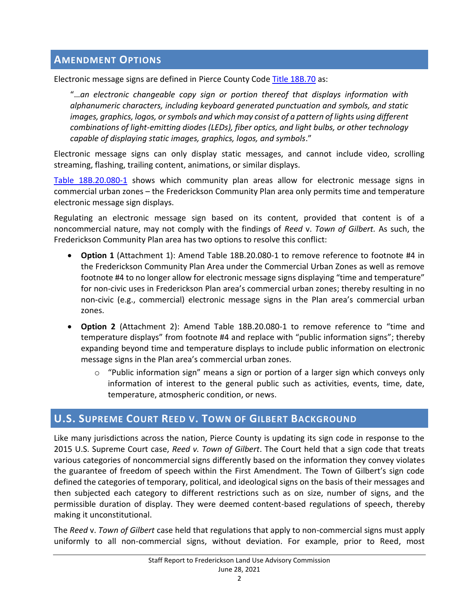# **AMENDMENT OPTIONS**

Electronic message signs are defined in Pierce County Code [Title 18B.70](https://www.codepublishing.com/WA/PierceCounty/#!/PierceCounty18B/PierceCounty18B70.html) as:

"…*an electronic changeable copy sign or portion thereof that displays information with alphanumeric characters, including keyboard generated punctuation and symbols, and static images, graphics, logos, or symbols and which may consist of a pattern of lights using different combinations of light-emitting diodes (LEDs), fiber optics, and light bulbs, or other technology capable of displaying static images, graphics, logos, and symbols*."

Electronic message signs can only display static messages, and cannot include video, scrolling streaming, flashing, trailing content, animations, or similar displays.

[Table 18B.20.080-1](https://www.codepublishing.com/WA/PierceCounty/#!/PierceCounty18B/PierceCounty18B20.html) shows which community plan areas allow for electronic message signs in commercial urban zones – the Frederickson Community Plan area only permits time and temperature electronic message sign displays.

Regulating an electronic message sign based on its content, provided that content is of a noncommercial nature, may not comply with the findings of *Reed* v. *Town of Gilbert.* As such, the Frederickson Community Plan area has two options to resolve this conflict:

- **Option 1** (Attachment 1): Amend Table 18B.20.080-1 to remove reference to footnote #4 in the Frederickson Community Plan Area under the Commercial Urban Zones as well as remove footnote #4 to no longer allow for electronic message signs displaying "time and temperature" for non-civic uses in Frederickson Plan area's commercial urban zones; thereby resulting in no non-civic (e.g., commercial) electronic message signs in the Plan area's commercial urban zones.
- **Option 2** (Attachment 2): Amend Table 18B.20.080-1 to remove reference to "time and temperature displays" from footnote #4 and replace with "public information signs"; thereby expanding beyond time and temperature displays to include public information on electronic message signs in the Plan area's commercial urban zones.
	- $\circ$  "Public information sign" means a sign or portion of a larger sign which conveys only information of interest to the general public such as activities, events, time, date, temperature, atmospheric condition, or news.

# **U.S. SUPREME COURT REED V. TOWN OF GILBERT BACKGROUND**

Like many jurisdictions across the nation, Pierce County is updating its sign code in response to the 2015 U.S. Supreme Court case, *Reed v. Town of Gilbert*. The Court held that a sign code that treats various categories of noncommercial signs differently based on the information they convey violates the guarantee of freedom of speech within the First Amendment. The Town of Gilbert's sign code defined the categories of temporary, political, and ideological signs on the basis of their messages and then subjected each category to different restrictions such as on size, number of signs, and the permissible duration of display. They were deemed content-based regulations of speech, thereby making it unconstitutional.

The *Reed* v. *Town of Gilbert* case held that regulations that apply to non-commercial signs must apply uniformly to all non-commercial signs, without deviation. For example, prior to Reed, most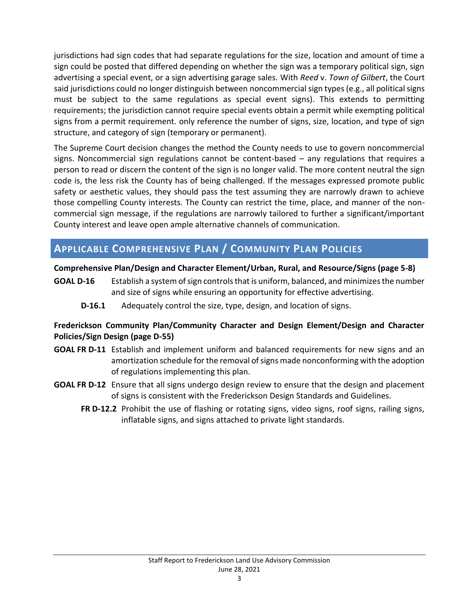jurisdictions had sign codes that had separate regulations for the size, location and amount of time a sign could be posted that differed depending on whether the sign was a temporary political sign, sign advertising a special event, or a sign advertising garage sales. With *Reed* v. *Town of Gilbert*, the Court said jurisdictions could no longer distinguish between noncommercial sign types (e.g., all political signs must be subject to the same regulations as special event signs). This extends to permitting requirements; the jurisdiction cannot require special events obtain a permit while exempting political signs from a permit requirement. only reference the number of signs, size, location, and type of sign structure, and category of sign (temporary or permanent).

The Supreme Court decision changes the method the County needs to use to govern noncommercial signs. Noncommercial sign regulations cannot be content-based – any regulations that requires a person to read or discern the content of the sign is no longer valid. The more content neutral the sign code is, the less risk the County has of being challenged. If the messages expressed promote public safety or aesthetic values, they should pass the test assuming they are narrowly drawn to achieve those compelling County interests. The County can restrict the time, place, and manner of the noncommercial sign message, if the regulations are narrowly tailored to further a significant/important County interest and leave open ample alternative channels of communication.

# **APPLICABLE COMPREHENSIVE PLAN / COMMUNITY PLAN POLICIES**

## **Comprehensive Plan/Design and Character Element/Urban, Rural, and Resource/Signs (page 5-8)**

**GOAL D-16** Establish a system of sign controls that is uniform, balanced, and minimizes the number and size of signs while ensuring an opportunity for effective advertising.

**D-16.1** Adequately control the size, type, design, and location of signs.

## **Frederickson Community Plan/Community Character and Design Element/Design and Character Policies/Sign Design (page D-55)**

- **GOAL FR D-11** Establish and implement uniform and balanced requirements for new signs and an amortization schedule for the removal of signs made nonconforming with the adoption of regulations implementing this plan.
- **GOAL FR D-12** Ensure that all signs undergo design review to ensure that the design and placement of signs is consistent with the Frederickson Design Standards and Guidelines.
	- **FR D-12.2** Prohibit the use of flashing or rotating signs, video signs, roof signs, railing signs, inflatable signs, and signs attached to private light standards.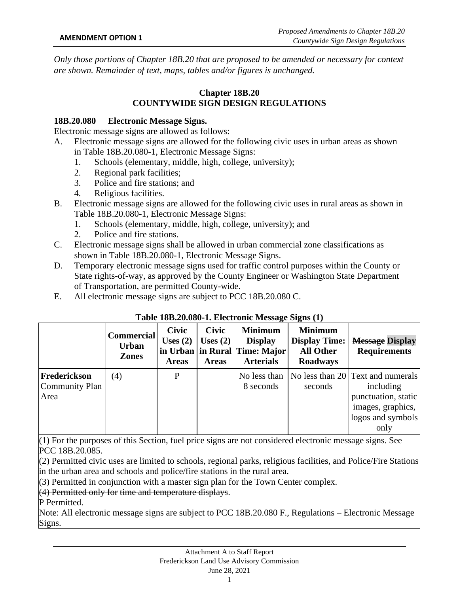*Only those portions of Chapter 18B.20 that are proposed to be amended or necessary for context are shown. Remainder of text, maps, tables and/or figures is unchanged.*

# **Chapter 18B.20 COUNTYWIDE SIGN DESIGN REGULATIONS**

#### **18B.20.080 Electronic Message Signs.**

Electronic message signs are allowed as follows:

- A. Electronic message signs are allowed for the following civic uses in urban areas as shown in Table 18B.20.080-1, Electronic Message Signs:
	- 1. Schools (elementary, middle, high, college, university);
	- 2. Regional park facilities;
	- 3. Police and fire stations; and
	- 4. Religious facilities.
- B. Electronic message signs are allowed for the following civic uses in rural areas as shown in Table 18B.20.080-1, Electronic Message Signs:
	- 1. Schools (elementary, middle, high, college, university); and
	- 2. Police and fire stations.
- C. Electronic message signs shall be allowed in urban commercial zone classifications as shown in Table 18B.20.080-1, Electronic Message Signs.
- D. Temporary electronic message signs used for traffic control purposes within the County or State rights-of-way, as approved by the County Engineer or Washington State Department of Transportation, are permitted County-wide.
- E. All electronic message signs are subject to PCC 18B.20.080 C.

|                                        | <b>Commercial</b><br><b>Urban</b><br><b>Zones</b> | <b>Civic</b><br>Uses $(2)$<br><b>Areas</b> | <b>Civic</b><br>Uses $(2)$<br><b>Areas</b> | <b>Minimum</b><br><b>Display</b><br>in Urban in Rural Time: Major<br><b>Arterials</b> | <b>Minimum</b><br><b>Display Time:</b><br><b>All Other</b><br><b>Roadways</b> | <b>Message Display</b><br><b>Requirements</b>                                                                           |
|----------------------------------------|---------------------------------------------------|--------------------------------------------|--------------------------------------------|---------------------------------------------------------------------------------------|-------------------------------------------------------------------------------|-------------------------------------------------------------------------------------------------------------------------|
| Frederickson<br>Community Plan<br>Area | $\left(4\right)$                                  | P                                          |                                            | No less than<br>8 seconds                                                             | seconds                                                                       | No less than 20 Text and numerals<br>including<br>punctuation, static<br>images, graphics,<br>logos and symbols<br>only |

# **Table 18B.20.080-1. Electronic Message Signs (1)**

(1) For the purposes of this Section, fuel price signs are not considered electronic message signs. See PCC 18B.20.085.

(2) Permitted civic uses are limited to schools, regional parks, religious facilities, and Police/Fire Stations in the urban area and schools and police/fire stations in the rural area.

(3) Permitted in conjunction with a master sign plan for the Town Center complex.

(4) Permitted only for time and temperature displays.

P Permitted.

Note: All electronic message signs are subject to PCC 18B.20.080 F., Regulations – Electronic Message Signs.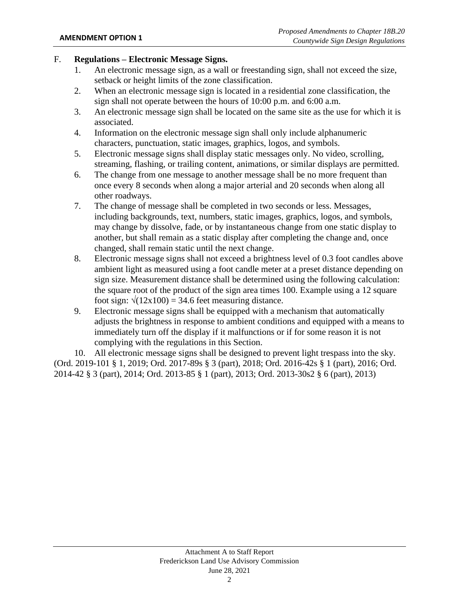# F. **Regulations – Electronic Message Signs.**

- 1. An electronic message sign, as a wall or freestanding sign, shall not exceed the size, setback or height limits of the zone classification.
- 2. When an electronic message sign is located in a residential zone classification, the sign shall not operate between the hours of 10:00 p.m. and 6:00 a.m.
- 3. An electronic message sign shall be located on the same site as the use for which it is associated.
- 4. Information on the electronic message sign shall only include alphanumeric characters, punctuation, static images, graphics, logos, and symbols.
- 5. Electronic message signs shall display static messages only. No video, scrolling, streaming, flashing, or trailing content, animations, or similar displays are permitted.
- 6. The change from one message to another message shall be no more frequent than once every 8 seconds when along a major arterial and 20 seconds when along all other roadways.
- 7. The change of message shall be completed in two seconds or less. Messages, including backgrounds, text, numbers, static images, graphics, logos, and symbols, may change by dissolve, fade, or by instantaneous change from one static display to another, but shall remain as a static display after completing the change and, once changed, shall remain static until the next change.
- 8. Electronic message signs shall not exceed a brightness level of 0.3 foot candles above ambient light as measured using a foot candle meter at a preset distance depending on sign size. Measurement distance shall be determined using the following calculation: the square root of the product of the sign area times 100. Example using a 12 square foot sign:  $\sqrt{(12x100)} = 34.6$  feet measuring distance.
- 9. Electronic message signs shall be equipped with a mechanism that automatically adjusts the brightness in response to ambient conditions and equipped with a means to immediately turn off the display if it malfunctions or if for some reason it is not complying with the regulations in this Section.

10. All electronic message signs shall be designed to prevent light trespass into the sky. (Ord. 2019-101 § 1, 2019; Ord. 2017-89s § 3 (part), 2018; Ord. 2016-42s § 1 (part), 2016; Ord. 2014-42 § 3 (part), 2014; Ord. 2013-85 § 1 (part), 2013; Ord. 2013-30s2 § 6 (part), 2013)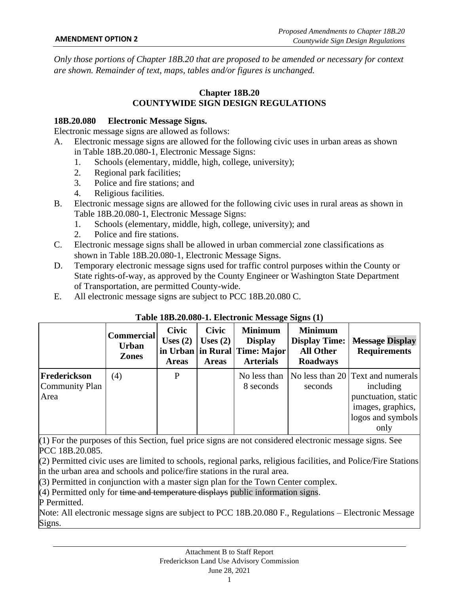*Only those portions of Chapter 18B.20 that are proposed to be amended or necessary for context are shown. Remainder of text, maps, tables and/or figures is unchanged.*

# **Chapter 18B.20 COUNTYWIDE SIGN DESIGN REGULATIONS**

#### **18B.20.080 Electronic Message Signs.**

Electronic message signs are allowed as follows:

- A. Electronic message signs are allowed for the following civic uses in urban areas as shown in Table 18B.20.080-1, Electronic Message Signs:
	- 1. Schools (elementary, middle, high, college, university);
	- 2. Regional park facilities;
	- 3. Police and fire stations; and
	- 4. Religious facilities.
- B. Electronic message signs are allowed for the following civic uses in rural areas as shown in Table 18B.20.080-1, Electronic Message Signs:
	- 1. Schools (elementary, middle, high, college, university); and
	- 2. Police and fire stations.
- C. Electronic message signs shall be allowed in urban commercial zone classifications as shown in Table 18B.20.080-1, Electronic Message Signs.
- D. Temporary electronic message signs used for traffic control purposes within the County or State rights-of-way, as approved by the County Engineer or Washington State Department of Transportation, are permitted County-wide.
- E. All electronic message signs are subject to PCC 18B.20.080 C.

|                                        | <b>Commercial</b><br><b>Urban</b><br><b>Zones</b> | <b>Civic</b><br>Uses $(2)$<br><b>Areas</b> | <b>Civic</b><br>Uses $(2)$<br><b>Areas</b> | <b>Minimum</b><br><b>Display</b><br>in Urban in Rural Time: Major<br><b>Arterials</b> | <b>Minimum</b><br><b>Display Time:</b><br><b>All Other</b><br><b>Roadways</b> | <b>Message Display</b><br><b>Requirements</b>                                                                           |
|----------------------------------------|---------------------------------------------------|--------------------------------------------|--------------------------------------------|---------------------------------------------------------------------------------------|-------------------------------------------------------------------------------|-------------------------------------------------------------------------------------------------------------------------|
| Frederickson<br>Community Plan<br>Area | (4)                                               | P                                          |                                            | No less than<br>8 seconds                                                             | seconds                                                                       | No less than 20 Text and numerals<br>including<br>punctuation, static<br>images, graphics,<br>logos and symbols<br>only |

## **Table 18B.20.080-1. Electronic Message Signs (1)**

(1) For the purposes of this Section, fuel price signs are not considered electronic message signs. See PCC 18B.20.085.

(2) Permitted civic uses are limited to schools, regional parks, religious facilities, and Police/Fire Stations in the urban area and schools and police/fire stations in the rural area.

(3) Permitted in conjunction with a master sign plan for the Town Center complex.

(4) Permitted only for time and temperature displays public information signs.

P Permitted.

Note: All electronic message signs are subject to PCC 18B.20.080 F., Regulations – Electronic Message Signs.